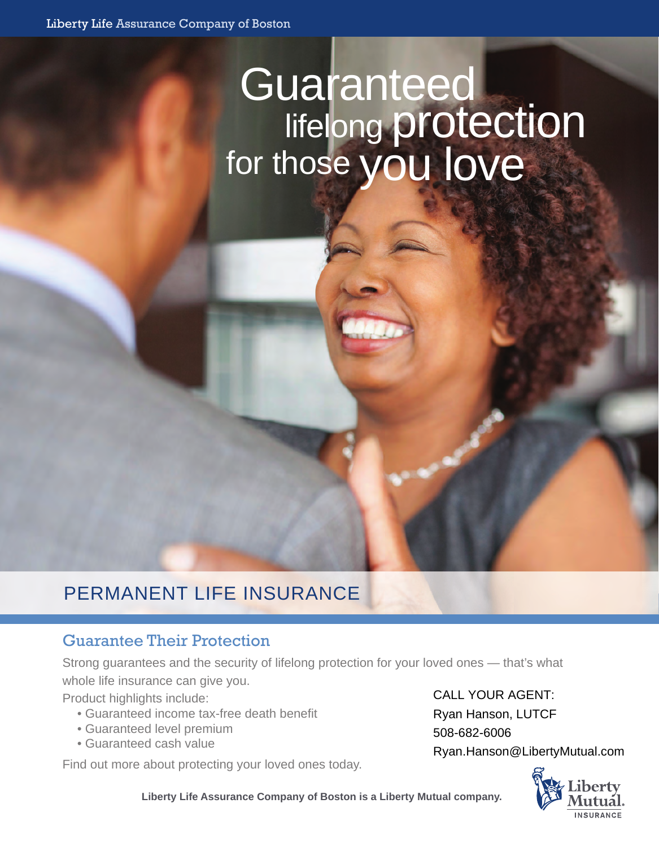# Guaranteed<br>lifelong protection<br>for those you love

# PERMANENT LIFE INSURANCE

# Guarantee Their Protection

Strong guarantees and the security of lifelong protection for your loved ones — that's what whole life insurance can give you.

Product highlights include:

- Guaranteed income tax-free death benefit
- Guaranteed level premium
- Guaranteed cash value

Find out more about protecting your loved ones today.

CALL YOUR AGENT: Ryan Hanson, LUTCF 508-682-6006 Ryan.Hanson@LibertyMutual.com



**Liberty Life Assurance Company of Boston is a Liberty Mutual company.**